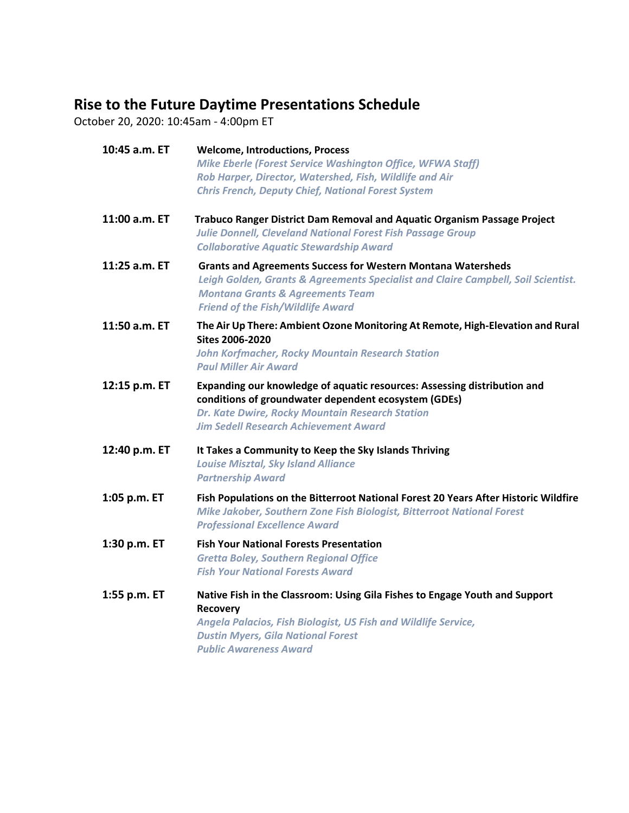## **Rise to the Future Daytime Presentations Schedule**

October 20, 2020: 10:45am - 4:00pm ET

| 10:45 a.m. ET | <b>Welcome, Introductions, Process</b><br><b>Mike Eberle (Forest Service Washington Office, WFWA Staff)</b><br>Rob Harper, Director, Watershed, Fish, Wildlife and Air<br><b>Chris French, Deputy Chief, National Forest System</b>                 |
|---------------|-----------------------------------------------------------------------------------------------------------------------------------------------------------------------------------------------------------------------------------------------------|
| 11:00 a.m. ET | Trabuco Ranger District Dam Removal and Aquatic Organism Passage Project<br><b>Julie Donnell, Cleveland National Forest Fish Passage Group</b><br><b>Collaborative Aquatic Stewardship Award</b>                                                    |
| 11:25 a.m. ET | <b>Grants and Agreements Success for Western Montana Watersheds</b><br>Leigh Golden, Grants & Agreements Specialist and Claire Campbell, Soil Scientist.<br><b>Montana Grants &amp; Agreements Team</b><br><b>Friend of the Fish/Wildlife Award</b> |
| 11:50 a.m. ET | The Air Up There: Ambient Ozone Monitoring At Remote, High-Elevation and Rural<br><b>Sites 2006-2020</b><br><b>John Korfmacher, Rocky Mountain Research Station</b><br><b>Paul Miller Air Award</b>                                                 |
| 12:15 p.m. ET | Expanding our knowledge of aquatic resources: Assessing distribution and<br>conditions of groundwater dependent ecosystem (GDEs)<br>Dr. Kate Dwire, Rocky Mountain Research Station<br><b>Jim Sedell Research Achievement Award</b>                 |
| 12:40 p.m. ET | It Takes a Community to Keep the Sky Islands Thriving<br><b>Louise Misztal, Sky Island Alliance</b><br><b>Partnership Award</b>                                                                                                                     |
| 1:05 p.m. ET  | Fish Populations on the Bitterroot National Forest 20 Years After Historic Wildfire<br>Mike Jakober, Southern Zone Fish Biologist, Bitterroot National Forest<br><b>Professional Excellence Award</b>                                               |
| 1:30 p.m. ET  | <b>Fish Your National Forests Presentation</b><br><b>Gretta Boley, Southern Regional Office</b><br><b>Fish Your National Forests Award</b>                                                                                                          |
| 1:55 p.m. ET  | Native Fish in the Classroom: Using Gila Fishes to Engage Youth and Support<br>Recovery<br>Angela Palacios, Fish Biologist, US Fish and Wildlife Service,<br><b>Dustin Myers, Gila National Forest</b><br><b>Public Awareness Award</b>             |